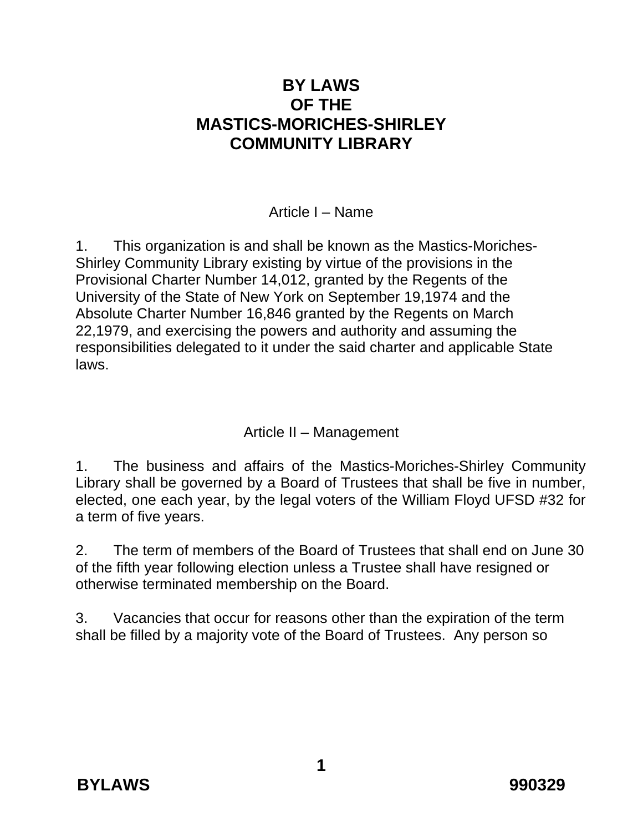# **BY LAWS OF THE MASTICS-MORICHES-SHIRLEY COMMUNITY LIBRARY**

Article I – Name

1. This organization is and shall be known as the Mastics-Moriches-Shirley Community Library existing by virtue of the provisions in the Provisional Charter Number 14,012, granted by the Regents of the University of the State of New York on September 19,1974 and the Absolute Charter Number 16,846 granted by the Regents on March 22,1979, and exercising the powers and authority and assuming the responsibilities delegated to it under the said charter and applicable State laws.

Article II – Management

1. The business and affairs of the Mastics-Moriches-Shirley Community Library shall be governed by a Board of Trustees that shall be five in number, elected, one each year, by the legal voters of the William Floyd UFSD #32 for a term of five years.

2. The term of members of the Board of Trustees that shall end on June 30 of the fifth year following election unless a Trustee shall have resigned or otherwise terminated membership on the Board.

3. Vacancies that occur for reasons other than the expiration of the term shall be filled by a majority vote of the Board of Trustees. Any person so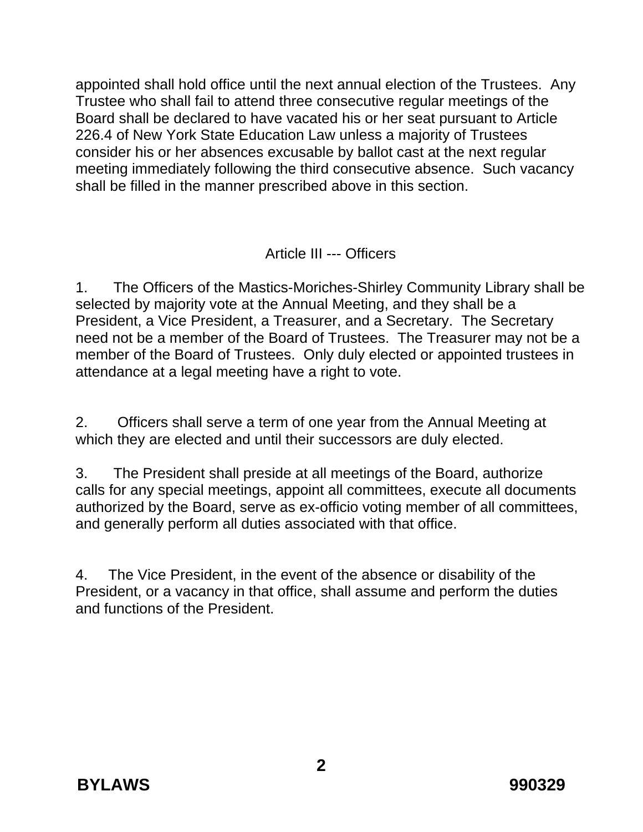appointed shall hold office until the next annual election of the Trustees. Any Trustee who shall fail to attend three consecutive regular meetings of the Board shall be declared to have vacated his or her seat pursuant to Article 226.4 of New York State Education Law unless a majority of Trustees consider his or her absences excusable by ballot cast at the next regular meeting immediately following the third consecutive absence. Such vacancy shall be filled in the manner prescribed above in this section.

#### Article III --- Officers

1. The Officers of the Mastics-Moriches-Shirley Community Library shall be selected by majority vote at the Annual Meeting, and they shall be a President, a Vice President, a Treasurer, and a Secretary. The Secretary need not be a member of the Board of Trustees. The Treasurer may not be a member of the Board of Trustees. Only duly elected or appointed trustees in attendance at a legal meeting have a right to vote.

2. Officers shall serve a term of one year from the Annual Meeting at which they are elected and until their successors are duly elected.

3. The President shall preside at all meetings of the Board, authorize calls for any special meetings, appoint all committees, execute all documents authorized by the Board, serve as ex-officio voting member of all committees, and generally perform all duties associated with that office.

4. The Vice President, in the event of the absence or disability of the President, or a vacancy in that office, shall assume and perform the duties and functions of the President.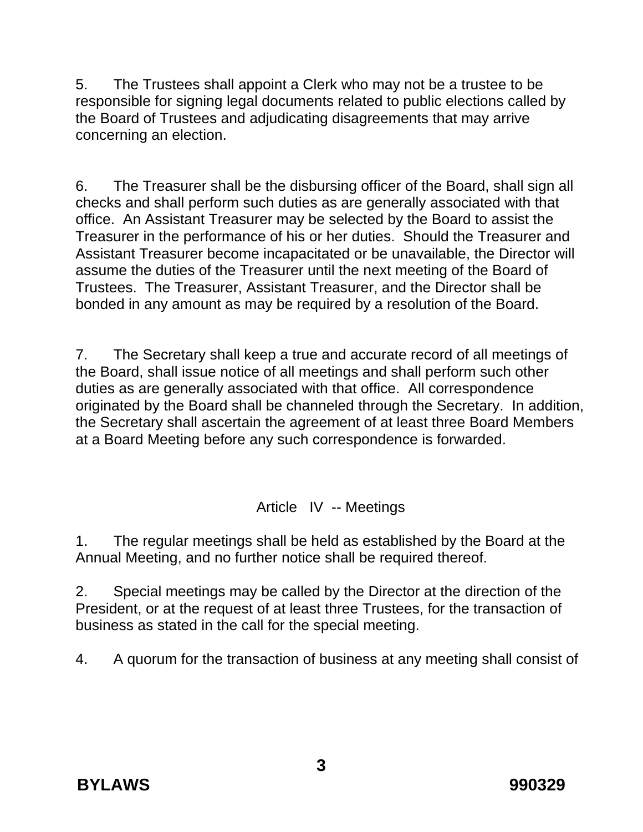5. The Trustees shall appoint a Clerk who may not be a trustee to be responsible for signing legal documents related to public elections called by the Board of Trustees and adjudicating disagreements that may arrive concerning an election.

6. The Treasurer shall be the disbursing officer of the Board, shall sign all checks and shall perform such duties as are generally associated with that office. An Assistant Treasurer may be selected by the Board to assist the Treasurer in the performance of his or her duties. Should the Treasurer and Assistant Treasurer become incapacitated or be unavailable, the Director will assume the duties of the Treasurer until the next meeting of the Board of Trustees. The Treasurer, Assistant Treasurer, and the Director shall be bonded in any amount as may be required by a resolution of the Board.

7. The Secretary shall keep a true and accurate record of all meetings of the Board, shall issue notice of all meetings and shall perform such other duties as are generally associated with that office. All correspondence originated by the Board shall be channeled through the Secretary. In addition, the Secretary shall ascertain the agreement of at least three Board Members at a Board Meeting before any such correspondence is forwarded.

Article IV -- Meetings

1. The regular meetings shall be held as established by the Board at the Annual Meeting, and no further notice shall be required thereof.

2. Special meetings may be called by the Director at the direction of the President, or at the request of at least three Trustees, for the transaction of business as stated in the call for the special meeting.

4. A quorum for the transaction of business at any meeting shall consist of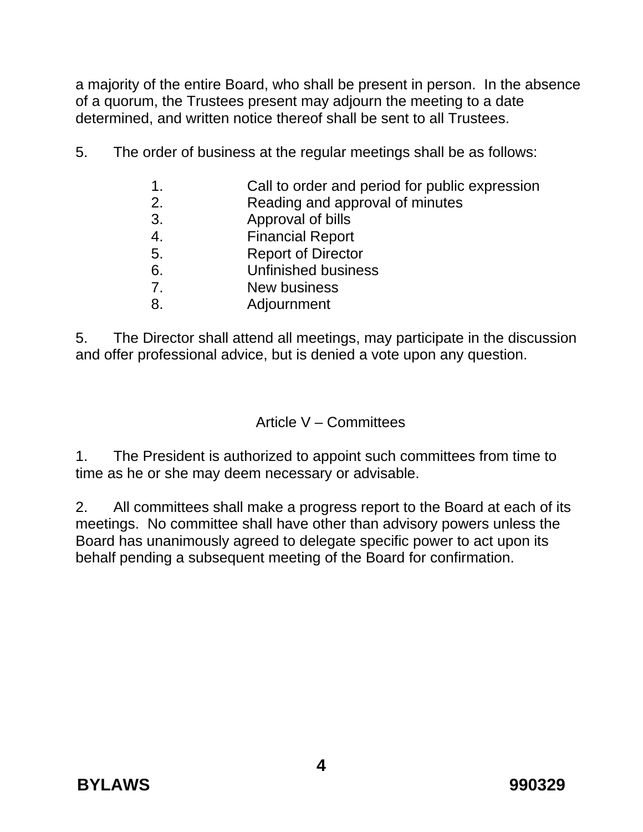a majority of the entire Board, who shall be present in person. In the absence of a quorum, the Trustees present may adjourn the meeting to a date determined, and written notice thereof shall be sent to all Trustees.

- 5. The order of business at the regular meetings shall be as follows:
	- 1. Call to order and period for public expression
	- 2. Reading and approval of minutes
	- 3. Approval of bills
	- 4. Financial Report
	- 5. Report of Director
	- 6. Unfinished business
	- 7. New business
	- 8. Adjournment

5. The Director shall attend all meetings, may participate in the discussion and offer professional advice, but is denied a vote upon any question.

## Article V – Committees

1. The President is authorized to appoint such committees from time to time as he or she may deem necessary or advisable.

2. All committees shall make a progress report to the Board at each of its meetings. No committee shall have other than advisory powers unless the Board has unanimously agreed to delegate specific power to act upon its behalf pending a subsequent meeting of the Board for confirmation.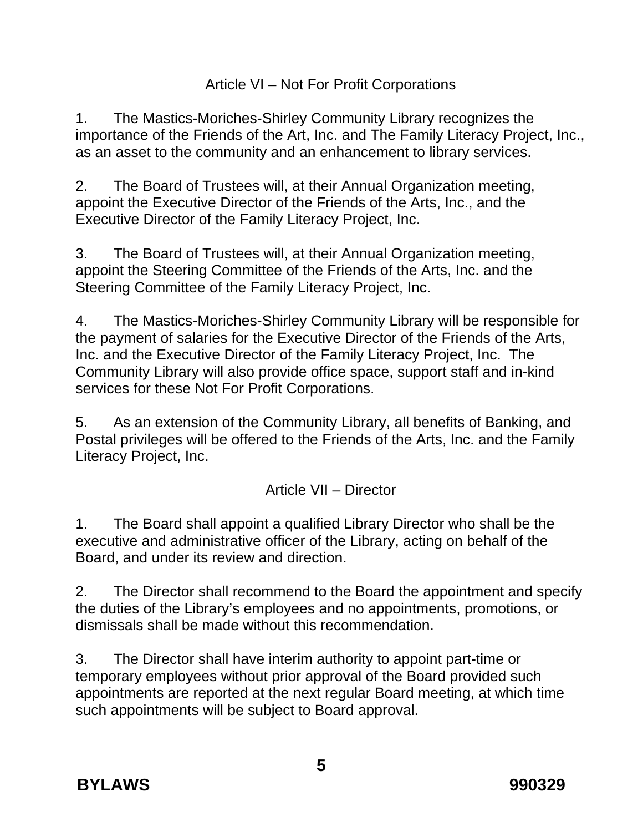## Article VI – Not For Profit Corporations

1. The Mastics-Moriches-Shirley Community Library recognizes the importance of the Friends of the Art, Inc. and The Family Literacy Project, Inc., as an asset to the community and an enhancement to library services.

2. The Board of Trustees will, at their Annual Organization meeting, appoint the Executive Director of the Friends of the Arts, Inc., and the Executive Director of the Family Literacy Project, Inc.

3. The Board of Trustees will, at their Annual Organization meeting, appoint the Steering Committee of the Friends of the Arts, Inc. and the Steering Committee of the Family Literacy Project, Inc.

4. The Mastics-Moriches-Shirley Community Library will be responsible for the payment of salaries for the Executive Director of the Friends of the Arts, Inc. and the Executive Director of the Family Literacy Project, Inc. The Community Library will also provide office space, support staff and in-kind services for these Not For Profit Corporations.

5. As an extension of the Community Library, all benefits of Banking, and Postal privileges will be offered to the Friends of the Arts, Inc. and the Family Literacy Project, Inc.

#### Article VII – Director

1. The Board shall appoint a qualified Library Director who shall be the executive and administrative officer of the Library, acting on behalf of the Board, and under its review and direction.

2. The Director shall recommend to the Board the appointment and specify the duties of the Library's employees and no appointments, promotions, or dismissals shall be made without this recommendation.

3. The Director shall have interim authority to appoint part-time or temporary employees without prior approval of the Board provided such appointments are reported at the next regular Board meeting, at which time such appointments will be subject to Board approval.